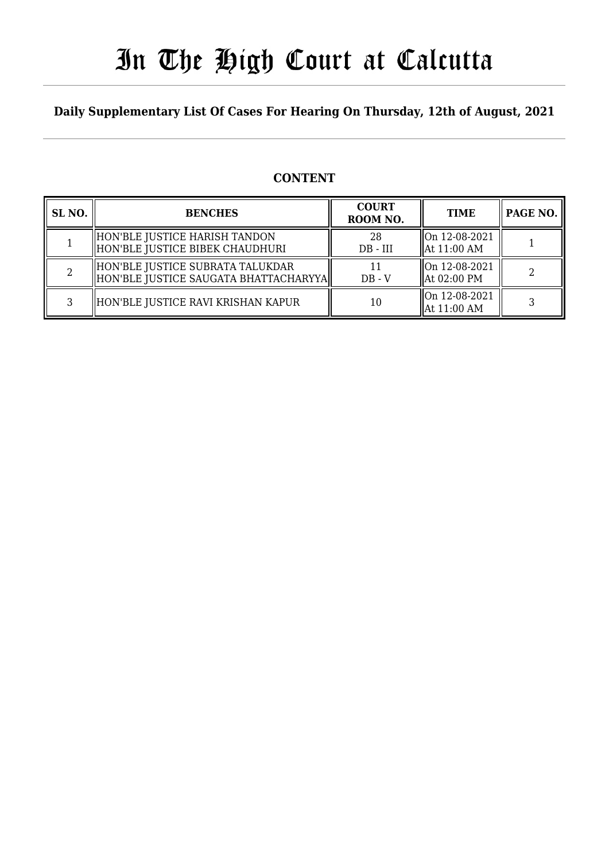# In The High Court at Calcutta

### **Daily Supplementary List Of Cases For Hearing On Thursday, 12th of August, 2021**

### **CONTENT**

| SL <sub>NO</sub> . | <b>BENCHES</b>                                                              | <b>COURT</b><br>ROOM NO. | <b>TIME</b>                                                      | PAGE NO. |
|--------------------|-----------------------------------------------------------------------------|--------------------------|------------------------------------------------------------------|----------|
|                    | HON'BLE JUSTICE HARISH TANDON<br>HON'BLE JUSTICE BIBEK CHAUDHURI            | 28<br>$DB - III$         | $\lfloor 0n \t12 - 08 - 2021 \rfloor$<br>$\parallel$ At 11:00 AM |          |
|                    | HON'BLE JUSTICE SUBRATA TALUKDAR<br>  HON'BLE JUSTICE SAUGATA BHATTACHARYYA | $DB - V$                 | On 12-08-2021<br>  At 02:00 PM                                   |          |
|                    | HON'BLE JUSTICE RAVI KRISHAN KAPUR                                          | 10                       | $ On 12-08-2021$<br>  At 11:00 AM                                |          |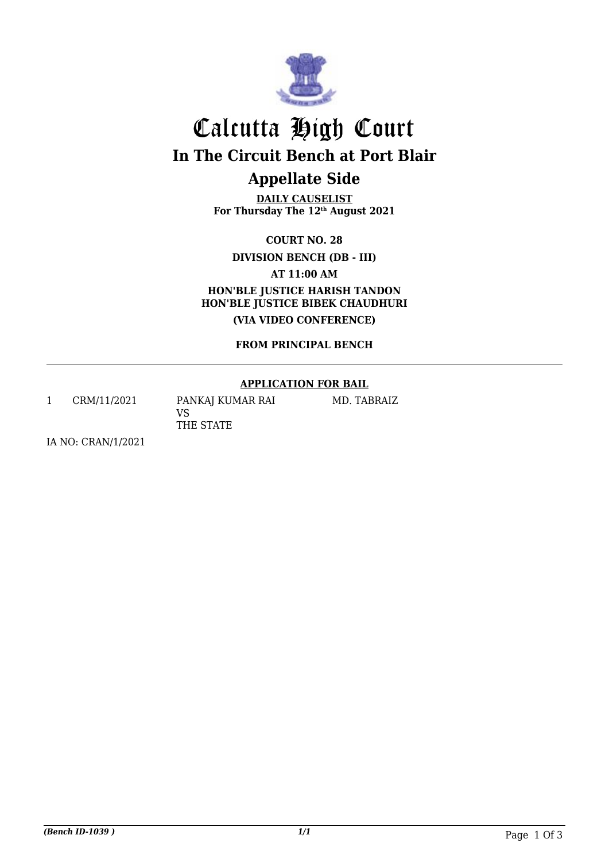

## Calcutta High Court **In The Circuit Bench at Port Blair Appellate Side**

**DAILY CAUSELIST For Thursday The 12th August 2021**

**COURT NO. 28**

**DIVISION BENCH (DB - III)**

**AT 11:00 AM**

**HON'BLE JUSTICE HARISH TANDON HON'BLE JUSTICE BIBEK CHAUDHURI (VIA VIDEO CONFERENCE)**

**FROM PRINCIPAL BENCH**

### **APPLICATION FOR BAIL**

1 CRM/11/2021 PANKAJ KUMAR RAI VS THE STATE

MD. TABRAIZ

IA NO: CRAN/1/2021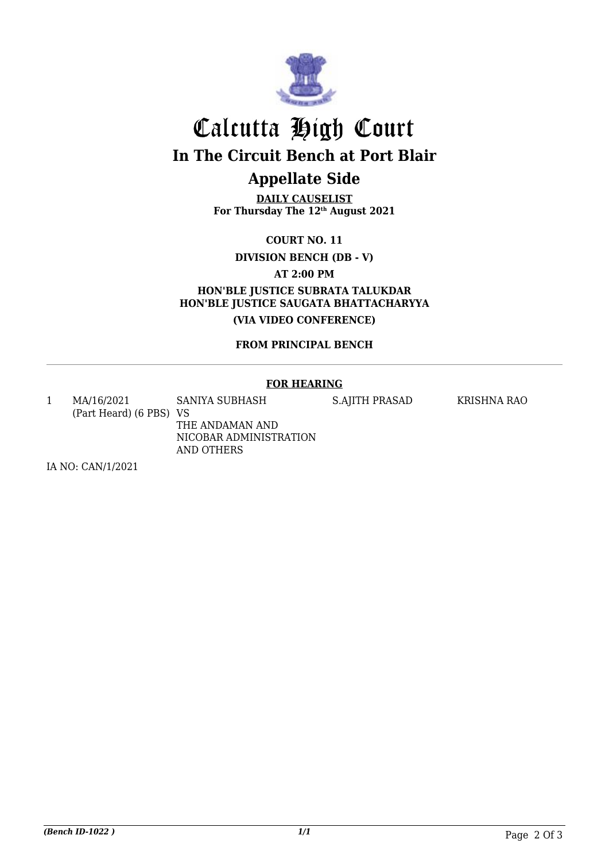

# Calcutta High Court **In The Circuit Bench at Port Blair**

## **Appellate Side**

**DAILY CAUSELIST For Thursday The 12th August 2021**

**COURT NO. 11**

**DIVISION BENCH (DB - V)**

**AT 2:00 PM**

**HON'BLE JUSTICE SUBRATA TALUKDAR HON'BLE JUSTICE SAUGATA BHATTACHARYYA (VIA VIDEO CONFERENCE)**

**FROM PRINCIPAL BENCH**

#### **FOR HEARING**

1 MA/16/2021 (Part Heard) (6 PBS) VS SANIYA SUBHASH THE ANDAMAN AND NICOBAR ADMINISTRATION

AND OTHERS

S.AJITH PRASAD KRISHNA RAO

IA NO: CAN/1/2021